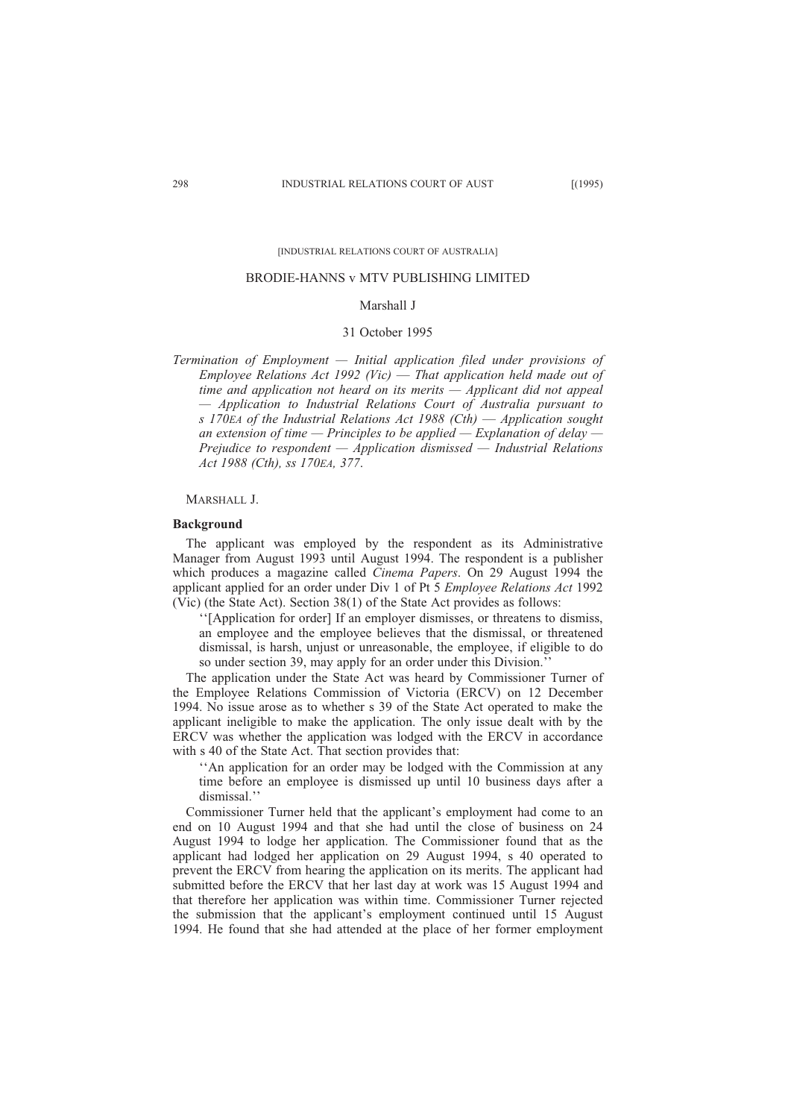[INDUSTRIAL RELATIONS COURT OF AUSTRALIA]

#### BRODIE-HANNS v MTV PUBLISHING LIMITED

# Marshall J

### 31 October 1995

*Termination of Employment — Initial application filed under provisions of Employee Relations Act 1992 (Vic)* — *That application held made out of time and application not heard on its merits — Applicant did not appeal — Application to Industrial Relations Court of Australia pursuant to s 170EA of the Industrial Relations Act 1988 (Cth)* — *Application sought an extension of time — Principles to be applied — Explanation of delay — Prejudice to respondent — Application dismissed — Industrial Relations Act 1988 (Cth), ss 170EA, 377*.

## MARSHALL J.

#### **Background**

The applicant was employed by the respondent as its Administrative Manager from August 1993 until August 1994. The respondent is a publisher which produces a magazine called *Cinema Papers*. On 29 August 1994 the applicant applied for an order under Div 1 of Pt 5 *Employee Relations Act* 1992 (Vic) (the State Act). Section 38(1) of the State Act provides as follows:

''[Application for order] If an employer dismisses, or threatens to dismiss, an employee and the employee believes that the dismissal, or threatened dismissal, is harsh, unjust or unreasonable, the employee, if eligible to do so under section 39, may apply for an order under this Division.''

The application under the State Act was heard by Commissioner Turner of the Employee Relations Commission of Victoria (ERCV) on 12 December 1994. No issue arose as to whether s 39 of the State Act operated to make the applicant ineligible to make the application. The only issue dealt with by the ERCV was whether the application was lodged with the ERCV in accordance with s 40 of the State Act. That section provides that:

''An application for an order may be lodged with the Commission at any time before an employee is dismissed up until 10 business days after a dismissal.''

Commissioner Turner held that the applicant's employment had come to an end on 10 August 1994 and that she had until the close of business on 24 August 1994 to lodge her application. The Commissioner found that as the applicant had lodged her application on 29 August 1994, s 40 operated to prevent the ERCV from hearing the application on its merits. The applicant had submitted before the ERCV that her last day at work was 15 August 1994 and that therefore her application was within time. Commissioner Turner rejected the submission that the applicant's employment continued until 15 August 1994. He found that she had attended at the place of her former employment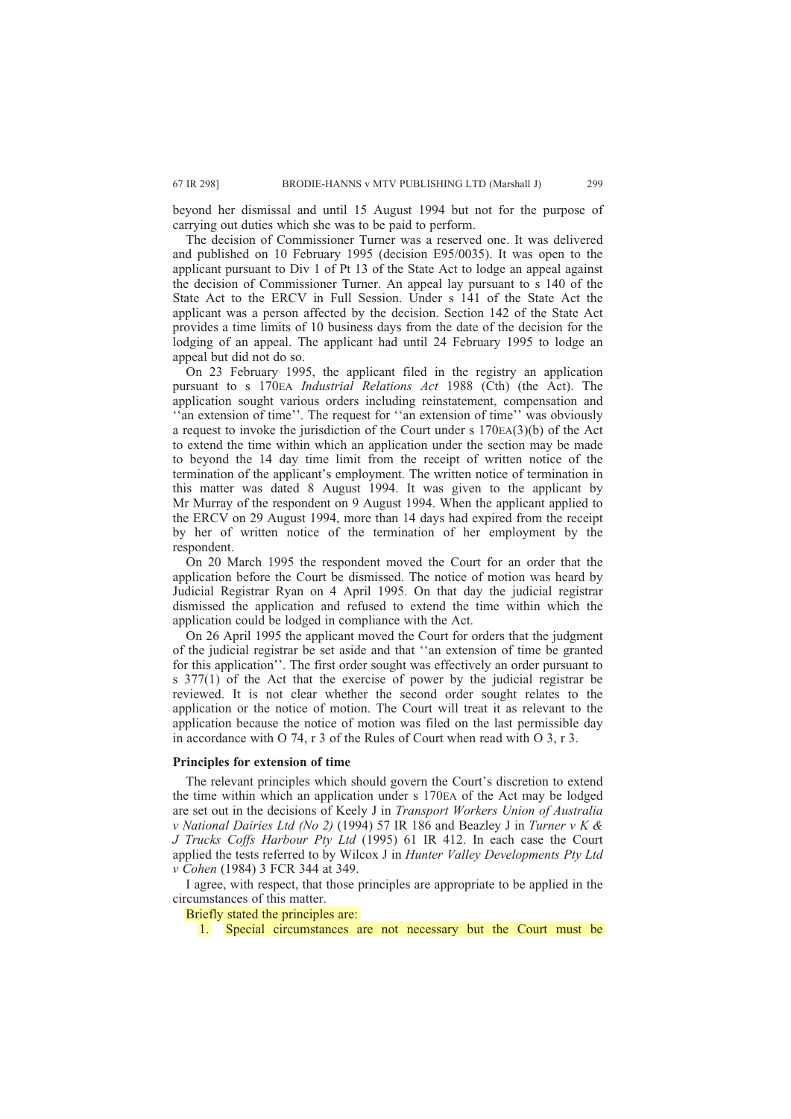beyond her dismissal and until 15 August 1994 but not for the purpose of carrying out duties which she was to be paid to perform.

The decision of Commissioner Turner was a reserved one. It was delivered and published on 10 February 1995 (decision E95/0035). It was open to the applicant pursuant to Div 1 of Pt 13 of the State Act to lodge an appeal against the decision of Commissioner Turner. An appeal lay pursuant to s 140 of the State Act to the ERCV in Full Session. Under s 141 of the State Act the applicant was a person affected by the decision. Section 142 of the State Act provides a time limits of 10 business days from the date of the decision for the lodging of an appeal. The applicant had until 24 February 1995 to lodge an appeal but did not do so.

On 23 February 1995, the applicant filed in the registry an application pursuant to s 170EA *Industrial Relations Act* 1988 (Cth) (the Act). The application sought various orders including reinstatement, compensation and 'an extension of time''. The request for "an extension of time'' was obviously a request to invoke the jurisdiction of the Court under s 170EA(3)(b) of the Act to extend the time within which an application under the section may be made to beyond the 14 day time limit from the receipt of written notice of the termination of the applicant's employment. The written notice of termination in this matter was dated 8 August 1994. It was given to the applicant by Mr Murray of the respondent on 9 August 1994. When the applicant applied to the ERCV on 29 August 1994, more than 14 days had expired from the receipt by her of written notice of the termination of her employment by the respondent.

On 20 March 1995 the respondent moved the Court for an order that the application before the Court be dismissed. The notice of motion was heard by Judicial Registrar Ryan on 4 April 1995. On that day the judicial registrar dismissed the application and refused to extend the time within which the application could be lodged in compliance with the Act.

On 26 April 1995 the applicant moved the Court for orders that the judgment of the judicial registrar be set aside and that ''an extension of time be granted for this application''. The first order sought was effectively an order pursuant to s 377(1) of the Act that the exercise of power by the judicial registrar be reviewed. It is not clear whether the second order sought relates to the application or the notice of motion. The Court will treat it as relevant to the application because the notice of motion was filed on the last permissible day in accordance with O 74, r 3 of the Rules of Court when read with O 3, r 3.

# **Principles for extension of time**

The relevant principles which should govern the Court's discretion to extend the time within which an application under s 170EA of the Act may be lodged are set out in the decisions of Keely J in *Transport Workers Union of Australia v National Dairies Ltd (No 2)* (1994) 57 IR 186 and Beazley J in *Turner v K & J Trucks Coffs Harbour Pty Ltd* (1995) 61 IR 412. In each case the Court applied the tests referred to by Wilcox J in *Hunter Valley Developments Pty Ltd v Cohen* (1984) 3 FCR 344 at 349.

I agree, with respect, that those principles are appropriate to be applied in the circumstances of this matter.

Briefly stated the principles are:

1. Special circumstances are not necessary but the Court must be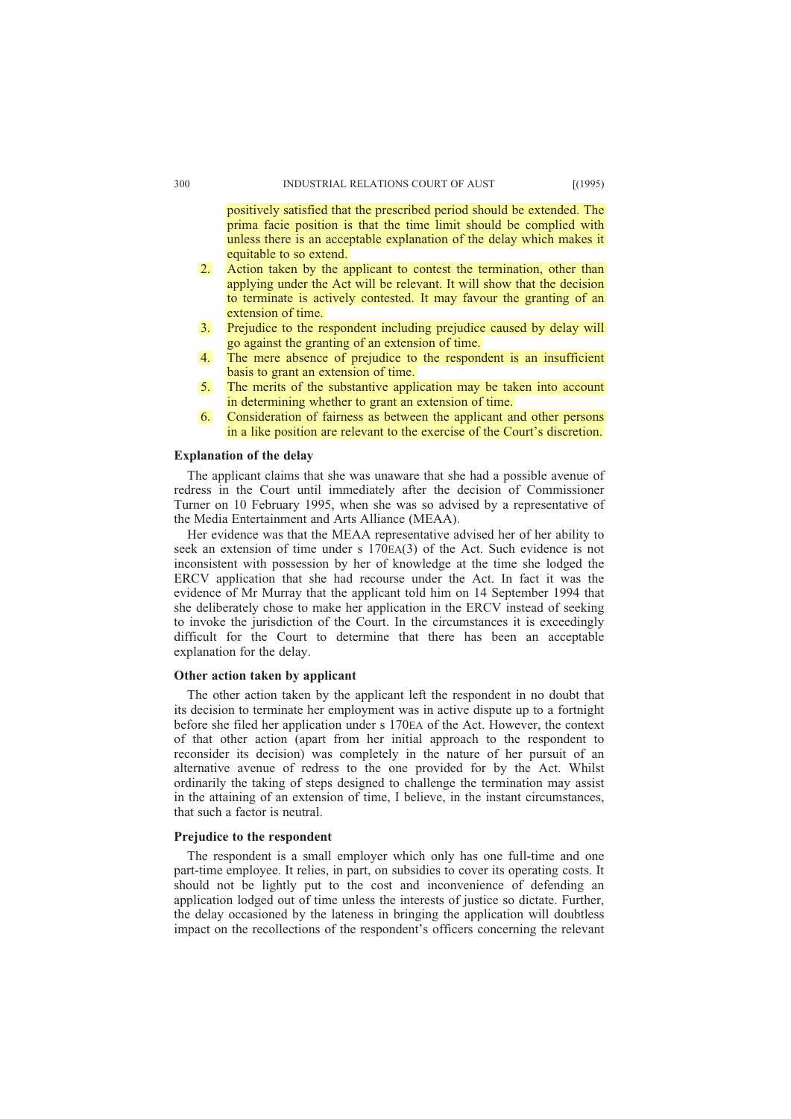positively satisfied that the prescribed period should be extended. The prima facie position is that the time limit should be complied with unless there is an acceptable explanation of the delay which makes it equitable to so extend.

- 2. Action taken by the applicant to contest the termination, other than applying under the Act will be relevant. It will show that the decision to terminate is actively contested. It may favour the granting of an extension of time.
- 3. Prejudice to the respondent including prejudice caused by delay will go against the granting of an extension of time.
- 4. The mere absence of prejudice to the respondent is an insufficient basis to grant an extension of time.
- 5. The merits of the substantive application may be taken into account in determining whether to grant an extension of time.
- 6. Consideration of fairness as between the applicant and other persons in a like position are relevant to the exercise of the Court's discretion.

## **Explanation of the delay**

The applicant claims that she was unaware that she had a possible avenue of redress in the Court until immediately after the decision of Commissioner Turner on 10 February 1995, when she was so advised by a representative of the Media Entertainment and Arts Alliance (MEAA).

Her evidence was that the MEAA representative advised her of her ability to seek an extension of time under s 170EA(3) of the Act. Such evidence is not inconsistent with possession by her of knowledge at the time she lodged the ERCV application that she had recourse under the Act. In fact it was the evidence of Mr Murray that the applicant told him on 14 September 1994 that she deliberately chose to make her application in the ERCV instead of seeking to invoke the jurisdiction of the Court. In the circumstances it is exceedingly difficult for the Court to determine that there has been an acceptable explanation for the delay.

# **Other action taken by applicant**

The other action taken by the applicant left the respondent in no doubt that its decision to terminate her employment was in active dispute up to a fortnight before she filed her application under s 170EA of the Act. However, the context of that other action (apart from her initial approach to the respondent to reconsider its decision) was completely in the nature of her pursuit of an alternative avenue of redress to the one provided for by the Act. Whilst ordinarily the taking of steps designed to challenge the termination may assist in the attaining of an extension of time, I believe, in the instant circumstances, that such a factor is neutral.

# **Prejudice to the respondent**

The respondent is a small employer which only has one full-time and one part-time employee. It relies, in part, on subsidies to cover its operating costs. It should not be lightly put to the cost and inconvenience of defending an application lodged out of time unless the interests of justice so dictate. Further, the delay occasioned by the lateness in bringing the application will doubtless impact on the recollections of the respondent's officers concerning the relevant